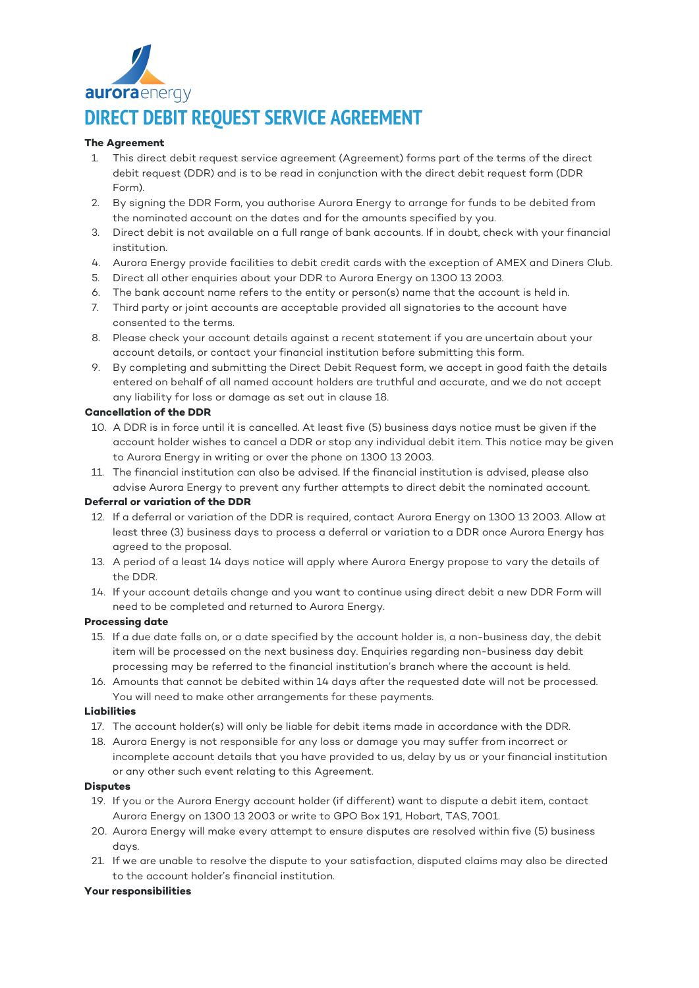

## **The Agreement**

- 1. This direct debit request service agreement (Agreement) forms part of the terms of the direct debit request (DDR) and is to be read in conjunction with the direct debit request form (DDR Form).
- 2. By signing the DDR Form, you authorise Aurora Energy to arrange for funds to be debited from the nominated account on the dates and for the amounts specified by you.
- 3. Direct debit is not available on a full range of bank accounts. If in doubt, check with your financial institution.
- 4. Aurora Energy provide facilities to debit credit cards with the exception of AMEX and Diners Club.
- 5. Direct all other enquiries about your DDR to Aurora Energy on 1300 13 2003.
- 6. The bank account name refers to the entity or person(s) name that the account is held in.
- 7. Third party or joint accounts are acceptable provided all signatories to the account have consented to the terms.
- 8. Please check your account details against a recent statement if you are uncertain about your account details, or contact your financial institution before submitting this form.
- 9. By completing and submitting the Direct Debit Request form, we accept in good faith the details entered on behalf of all named account holders are truthful and accurate, and we do not accept any liability for loss or damage as set out in clause 18.

# **Cancellation of the DDR**

- 10. A DDR is in force until it is cancelled. At least five (5) business days notice must be given if the account holder wishes to cancel a DDR or stop any individual debit item. This notice may be given to Aurora Energy in writing or over the phone on 1300 13 2003.
- 11. The financial institution can also be advised. If the financial institution is advised, please also advise Aurora Energy to prevent any further attempts to direct debit the nominated account.

## **Deferral or variation of the DDR**

- 12. If a deferral or variation of the DDR is required, contact Aurora Energy on 1300 13 2003. Allow at least three (3) business days to process a deferral or variation to a DDR once Aurora Energy has agreed to the proposal.
- 13. A period of a least 14 days notice will apply where Aurora Energy propose to vary the details of the DDR.
- 14. If your account details change and you want to continue using direct debit a new DDR Form will need to be completed and returned to Aurora Energy.

## **Processing date**

- 15. If a due date falls on, or a date specified by the account holder is, a non-business day, the debit item will be processed on the next business day. Enquiries regarding non-business day debit processing may be referred to the financial institution's branch where the account is held.
- 16. Amounts that cannot be debited within 14 days after the requested date will not be processed. You will need to make other arrangements for these payments.

## **Liabilities**

- 17. The account holder(s) will only be liable for debit items made in accordance with the DDR.
- 18. Aurora Energy is not responsible for any loss or damage you may suffer from incorrect or incomplete account details that you have provided to us, delay by us or your financial institution or any other such event relating to this Agreement.

## **Disputes**

- 19. If you or the Aurora Energy account holder (if different) want to dispute a debit item, contact Aurora Energy on 1300 13 2003 or write to GPO Box 191, Hobart, TAS, 7001.
- 20. Aurora Energy will make every attempt to ensure disputes are resolved within five (5) business days.
- 21. If we are unable to resolve the dispute to your satisfaction, disputed claims may also be directed to the account holder's financial institution.

## **Your responsibilities**